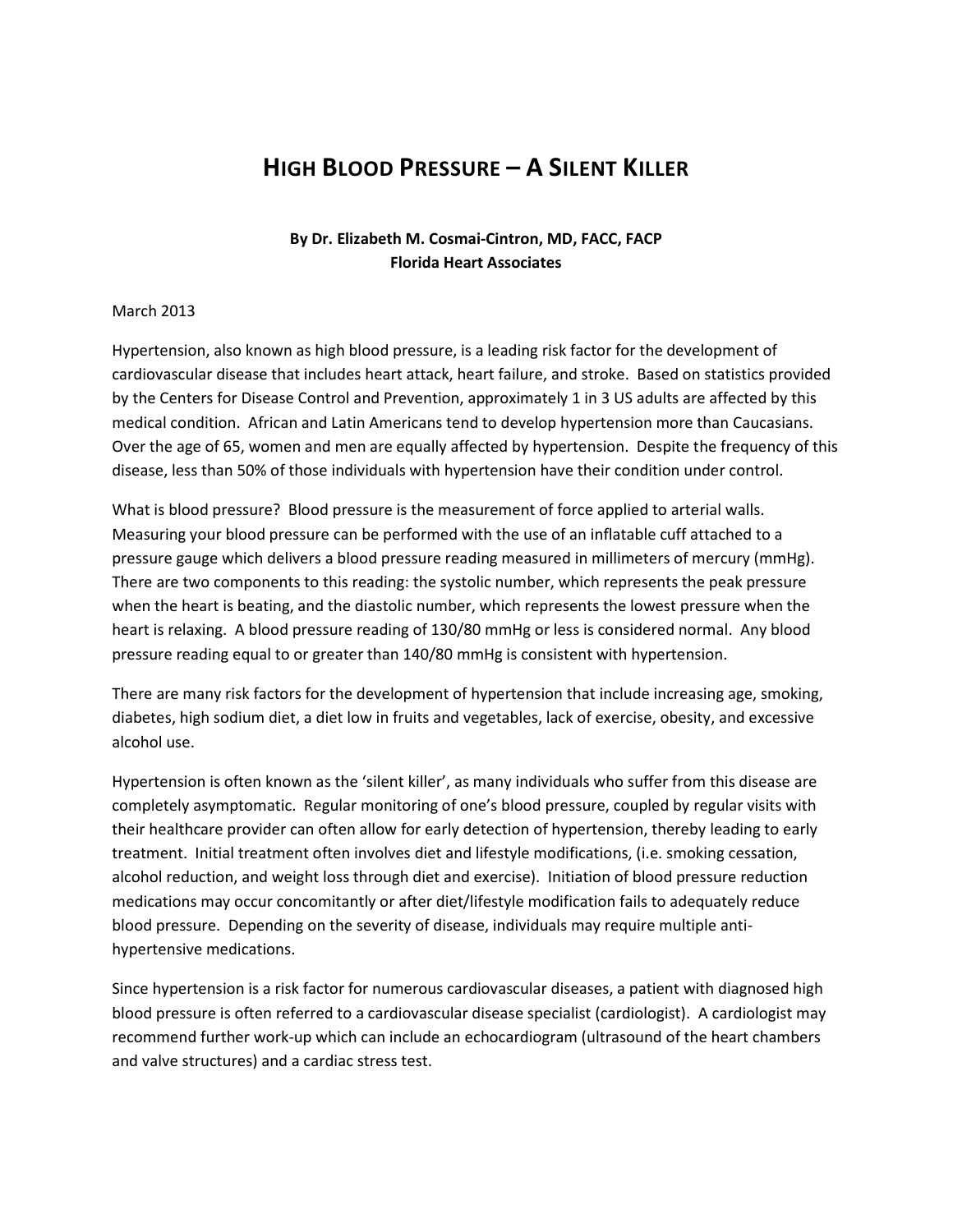## HIGH BLOOD PRESSURE – A SILENT KILLER

## By Dr. Elizabeth M. Cosmai-Cintron, MD, FACC, FACP Florida Heart Associates

## March 2013

Hypertension, also known as high blood pressure, is a leading risk factor for the development of cardiovascular disease that includes heart attack, heart failure, and stroke. Based on statistics provided by the Centers for Disease Control and Prevention, approximately 1 in 3 US adults are affected by this medical condition. African and Latin Americans tend to develop hypertension more than Caucasians. Over the age of 65, women and men are equally affected by hypertension. Despite the frequency of this disease, less than 50% of those individuals with hypertension have their condition under control.

What is blood pressure? Blood pressure is the measurement of force applied to arterial walls. Measuring your blood pressure can be performed with the use of an inflatable cuff attached to a pressure gauge which delivers a blood pressure reading measured in millimeters of mercury (mmHg). There are two components to this reading: the systolic number, which represents the peak pressure when the heart is beating, and the diastolic number, which represents the lowest pressure when the heart is relaxing. A blood pressure reading of 130/80 mmHg or less is considered normal. Any blood pressure reading equal to or greater than 140/80 mmHg is consistent with hypertension.

There are many risk factors for the development of hypertension that include increasing age, smoking, diabetes, high sodium diet, a diet low in fruits and vegetables, lack of exercise, obesity, and excessive alcohol use.

Hypertension is often known as the 'silent killer', as many individuals who suffer from this disease are completely asymptomatic. Regular monitoring of one's blood pressure, coupled by regular visits with their healthcare provider can often allow for early detection of hypertension, thereby leading to early treatment. Initial treatment often involves diet and lifestyle modifications, (i.e. smoking cessation, alcohol reduction, and weight loss through diet and exercise). Initiation of blood pressure reduction medications may occur concomitantly or after diet/lifestyle modification fails to adequately reduce blood pressure. Depending on the severity of disease, individuals may require multiple antihypertensive medications.

Since hypertension is a risk factor for numerous cardiovascular diseases, a patient with diagnosed high blood pressure is often referred to a cardiovascular disease specialist (cardiologist). A cardiologist may recommend further work-up which can include an echocardiogram (ultrasound of the heart chambers and valve structures) and a cardiac stress test.